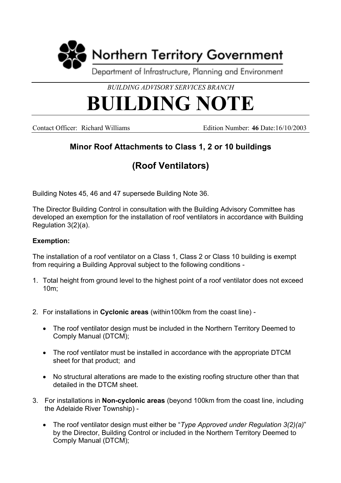

*BUILDING ADVISORY SERVICES BRANCH*

## **BUILDING NOTE**

Contact Officer: Richard Williams Edition Number: **46** Date:16/10/2003

## **Minor Roof Attachments to Class 1, 2 or 10 buildings**

## **(Roof Ventilators)**

Building Notes 45, 46 and 47 supersede Building Note 36.

The Director Building Control in consultation with the Building Advisory Committee has developed an exemption for the installation of roof ventilators in accordance with Building Regulation 3(2)(a).

## **Exemption:**

The installation of a roof ventilator on a Class 1, Class 2 or Class 10 building is exempt from requiring a Building Approval subject to the following conditions -

- 1. Total height from ground level to the highest point of a roof ventilator does not exceed 10m;
- 2. For installations in **Cyclonic areas** (within100km from the coast line)
	- The roof ventilator design must be included in the Northern Territory Deemed to Comply Manual (DTCM);
	- The roof ventilator must be installed in accordance with the appropriate DTCM sheet for that product; and
	- No structural alterations are made to the existing roofing structure other than that detailed in the DTCM sheet.
- 3. For installations in **Non-cyclonic areas** (beyond 100km from the coast line, including the Adelaide River Township) -
	- The roof ventilator design must either be "*Type Approved under Regulation 3(2)(a)*" by the Director, Building Control or included in the Northern Territory Deemed to Comply Manual (DTCM);